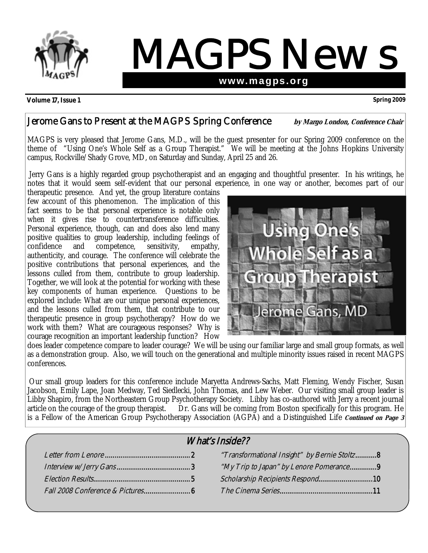

# MAGPS News **www.magps.org**

**Volume 17, Issue 1 Spring 2009** 

# Jerome Gans to Present at the MAGPS Spring Conference by Margo London, Conference Chair

MAGPS is very pleased that Jerome Gans, M.D., will be the guest presenter for our Spring 2009 conference on the theme of "Using One's Whole Self as a Group Therapist." We will be meeting at the Johns Hopkins University campus, Rockville/Shady Grove, MD, on Saturday and Sunday, April 25 and 26.

Jerry Gans is a highly regarded group psychotherapist and an engaging and thoughtful presenter. In his writings, he notes that it would seem self-evident that our personal experience, in one way or another, becomes part of our

therapeutic presence. And yet, the group literature contains few account of this phenomenon. The implication of this fact seems to be that personal experience is notable only when it gives rise to countertransference difficulties. Personal experience, though, can and does also lend many positive qualities to group leadership, including feelings of confidence and competence. sensitivity. empathy. confidence and competence, sensitivity, empathy, authenticity, and courage. The conference will celebrate the positive contributions that personal experiences, and the lessons culled from them, contribute to group leadership. Together, we will look at the potential for working with these key components of human experience. Questions to be explored include: What are our unique personal experiences, and the lessons culled from them, that contribute to our therapeutic presence in group psychotherapy? How do we work with them? What are courageous responses? Why is courage recognition an important leadership function? How



does leader competence compare to leader courage? We will be using our familiar large and small group formats, as well as a demonstration group. Also, we will touch on the generational and multiple minority issues raised in recent MAGPS conferences.

Our small group leaders for this conference include Maryetta Andrews-Sachs, Matt Fleming, Wendy Fischer, Susan Jacobson, Emily Lape, Joan Medway, Ted Siedlecki, John Thomas, and Lew Weber. Our visiting small group leader is Libby Shapiro, from the Northeastern Group Psychotherapy Society. Libby has co-authored with Jerry a recent journal article on the courage of the group therapist. Dr. Gans will be coming from Boston specifically for this program. He is a Fellow of the American Group Psychotherapy Association (AGPA) and a Distinguished Life **Continued on Page 3** 

| <i>What's Inside??</i> |                                              |  |
|------------------------|----------------------------------------------|--|
|                        | "Transformational Insight" by Bernie Stoltz8 |  |
|                        | "My Trip to Japan" by Lenore Pomerance9      |  |
|                        | Scholarship Recipients Respond10             |  |
|                        |                                              |  |
|                        |                                              |  |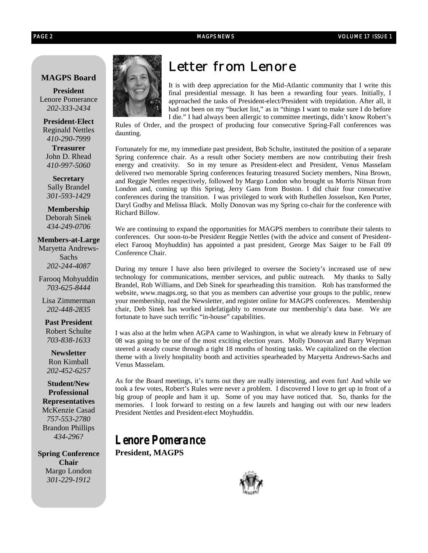#### **MAGPS Board**

**President**  Lenore Pomerance *202-333-2434* 

**President-Elect**  Reginald Nettles *410-290-7999* 

**Treasurer** John D. Rhead *410-997-5060* 

**Secretary**  Sally Brandel *301-593-1429*

**Membership**  Deborah Sinek *434-249-0706* 

**Members-at-Large** Maryetta Andrews-Sachs *202-244-4087* 

Farooq Mohyuddin *703-625-8444* 

Lisa Zimmerman *202-448-2835* 

**Past President**  Robert Schulte *703-838-1633*

**Newsletter**  Ron Kimball *202-452-6257*

**Student/New Professional Representatives**  McKenzie Casad *757-553-2780*  Brandon Phillips *434-296?* 

**Spring Conference Chair**  Margo London *301-229-1912* 



# *Letter from Lenore*

It is with deep appreciation for the Mid-Atlantic community that I write this final presidential message. It has been a rewarding four years. Initially, I approached the tasks of President-elect/President with trepidation. After all, it had not been on my "bucket list," as in "things I want to make sure I do before I die." I had always been allergic to committee meetings, didn't know Robert's

Rules of Order, and the prospect of producing four consecutive Spring-Fall conferences was daunting.

Fortunately for me, my immediate past president, Bob Schulte, instituted the position of a separate Spring conference chair. As a result other Society members are now contributing their fresh energy and creativity. So in my tenure as President-elect and President, Venus Masselam delivered two memorable Spring conferences featuring treasured Society members, Nina Brown, and Reggie Nettles respectively, followed by Margo London who brought us Morris Nitsun from London and, coming up this Spring, Jerry Gans from Boston. I did chair four consecutive conferences during the transition. I was privileged to work with Ruthellen Josselson, Ken Porter, Daryl Godby and Melissa Black. Molly Donovan was my Spring co-chair for the conference with Richard Billow.

We are continuing to expand the opportunities for MAGPS members to contribute their talents to conferences. Our soon-to-be President Reggie Nettles (with the advice and consent of Presidentelect Farooq Moyhuddin) has appointed a past president, George Max Saiger to be Fall 09 Conference Chair.

During my tenure I have also been privileged to oversee the Society's increased use of new technology for communications, member services, and public outreach. My thanks to Sally Brandel, Rob Williams, and Deb Sinek for spearheading this transition. Rob has transformed the website, www.magps.org, so that you as members can advertise your groups to the public, renew your membership, read the Newsletter, and register online for MAGPS conferences. Membership chair, Deb Sinek has worked indefatigably to renovate our membership's data base. We are fortunate to have such terrific "in-house" capabilities.

I was also at the helm when AGPA came to Washington, in what we already knew in February of 08 was going to be one of the most exciting election years. Molly Donovan and Barry Wepman steered a steady course through a tight 18 months of hosting tasks. We capitalized on the election theme with a lively hospitality booth and activities spearheaded by Maryetta Andrews-Sachs and Venus Masselam.

As for the Board meetings, it's turns out they are really interesting, and even fun! And while we took a few votes, Robert's Rules were never a problem. I discovered I love to get up in front of a big group of people and ham it up. Some of you may have noticed that. So, thanks for the memories. I look forward to resting on a few laurels and hanging out with our new leaders President Nettles and President-elect Moyhuddin.

# **Lenore Pomerance President, MAGPS**

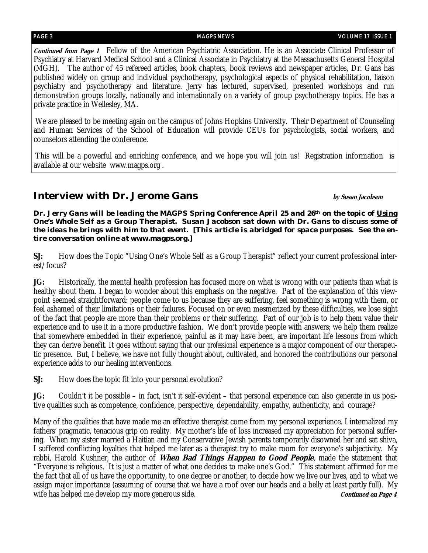**Continued from Page 1** Fellow of the American Psychiatric Association. He is an Associate Clinical Professor of Psychiatry at Harvard Medical School and a Clinical Associate in Psychiatry at the Massachusetts General Hospital (MGH). The author of 45 refereed articles, book chapters, book reviews and newspaper articles, Dr. Gans has published widely on group and individual psychotherapy, psychological aspects of physical rehabilitation, liaison psychiatry and psychotherapy and literature. Jerry has lectured, supervised, presented workshops and run demonstration groups locally, nationally and internationally on a variety of group psychotherapy topics. He has a private practice in Wellesley, MA.

We are pleased to be meeting again on the campus of Johns Hopkins University. Their Department of Counseling and Human Services of the School of Education will provide CEUs for psychologists, social workers, and counselors attending the conference.

This will be a powerful and enriching conference, and we hope you will join us! Registration information is available at our website www.magps.org .

### **Interview with Dr. Jerome Gans** *by Susan Jacobson*

*Dr. Jerry Gans will be leading the MAGPS Spring Conference April 25 and 26th on the topic of Using One's Whole Self as a Group Therapist. Susan Jacobson sat down with Dr. Gans to discuss some of the ideas he brings with him to that event. [This article is abridged for space purposes. See the entire conversation online at www.magps.org.]* 

**SJ:** How does the Topic "Using One's Whole Self as a Group Therapist" reflect your current professional interest/focus?

**JG:** Historically, the mental health profession has focused more on what is wrong with our patients than what is healthy about them. I began to wonder about this emphasis on the negative. Part of the explanation of this viewpoint seemed straightforward: people come to us because they are suffering, feel something is wrong with them, or feel ashamed of their limitations or their failures. Focused on or even mesmerized by these difficulties, we lose sight of the fact that people are more than their problems or their suffering. Part of our job is to help them value their experience and to use it in a more productive fashion. We don't provide people with answers; we help them realize that somewhere embedded in their experience, painful as it may have been, are important life lessons from which they can derive benefit. It goes without saying that our *professional* experience is a major component of our therapeutic presence. But, I believe, we have not fully thought about, cultivated, and honored the contributions our personal experience adds to our healing interventions.

**SJ:** How does the topic fit into your personal evolution?

**JG:** Couldn't it be possible – in fact, isn't it self-evident – that personal experience can also generate in us positive qualities such as competence, confidence, perspective, dependability, empathy, authenticity, and courage?

Many of the qualities that have made me an effective therapist come from my personal experience. I internalized my fathers' pragmatic, tenacious grip on reality. My mother's life of loss increased my appreciation for personal suffering. When my sister married a Haitian and my Conservative Jewish parents temporarily disowned her and sat shiva, I suffered conflicting loyalties that helped me later as a therapist try to make room for everyone's subjectivity. My rabbi, Harold Kushner, the author of **When Bad Things Happen to Good People**, made the statement that "Everyone is religious. It is just a matter of what one decides to make one's God." This statement affirmed for me the fact that all of us have the opportunity, to one degree or another, to decide how we live our lives, and to what we assign major importance (assuming of course that we have a roof over our heads and a belly at least partly full). My wife has helped me develop my more generous side. **Continued on Page 4 Continued on Page 4**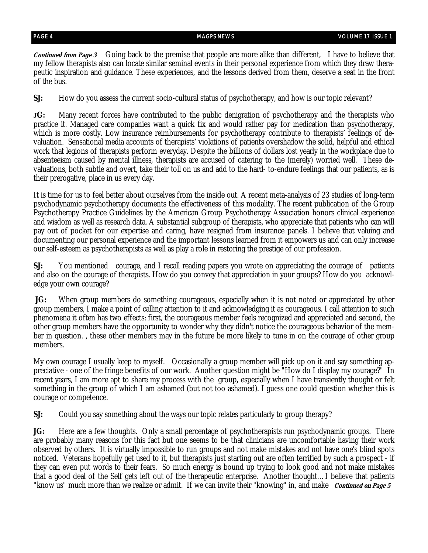**Continued from Page 3** Going back to the premise that people are more alike than different, I have to believe that my fellow therapists also can locate similar seminal events in their personal experience from which they draw therapeutic inspiration and guidance. These experiences, and the lessons derived from them, deserve a seat in the front of the bus.

**SJ:** How do you assess the current socio-cultural status of psychotherapy, and how is our topic relevant?

**JG:** Many recent forces have contributed to the public denigration of psychotherapy and the therapists who practice it. Managed care companies want a quick fix and would rather pay for medication than psychotherapy, which is more costly. Low insurance reimbursements for psychotherapy contribute to therapists' feelings of devaluation. Sensational media accounts of therapists' violations of patients overshadow the solid, helpful and ethical work that legions of therapists perform everyday. Despite the billions of dollars lost yearly in the workplace due to absenteeism caused by mental illness, therapists are accused of catering to the (merely) worried well. These devaluations, both subtle and overt, take their toll on us and add to the hard- to-endure feelings that our patients, as is their prerogative, place in us every day.

It is time for us to feel better about ourselves from the inside out. A recent meta-analysis of 23 studies of long-term psychodynamic psychotherapy documents the effectiveness of this modality. The recent publication of the Group Psychotherapy Practice Guidelines by the American Group Psychotherapy Association honors clinical experience and wisdom as well as research data. A substantial subgroup of therapists, who appreciate that patients who can will pay out of pocket for our expertise and caring, have resigned from insurance panels. I believe that valuing and documenting our personal experience and the important lessons learned from it empowers us and can only increase our self-esteem as psychotherapists as well as play a role in restoring the prestige of our profession.

**SJ:** You mentioned courage, and I recall reading papers you wrote on appreciating the courage of patients and also on the courage of therapists. How do you convey that appreciation in your groups? How do you acknowledge your own courage?

**JG:** When group members do something courageous, especially when it is not noted or appreciated by other group members, I make a point of calling attention to it and acknowledging it as courageous. I call attention to such phenomena it often has two effects: first, the courageous member feels recognized and appreciated and second, the other group members have the opportunity to wonder why they didn't notice the courageous behavior of the member in question. , these other members may in the future be more likely to tune in on the courage of other group members.

My own courage I usually keep to myself. Occasionally a group member will pick up on it and say something appreciative - one of the fringe benefits of our work. Another question might be "How do I display my courage?" In recent years, I am more apt to share my process with the group**,** especially when I have transiently thought or felt something in the group of which I am ashamed (but not too ashamed). I guess one could question whether this is courage or competence.

**SJ:** Could you say something about the ways our topic relates particularly to group therapy?

**JG:** Here are a few thoughts. Only a small percentage of psychotherapists run psychodynamic groups. There are probably many reasons for this fact but one seems to be that clinicians are uncomfortable having their work observed by others. It is virtually impossible to run groups and not make mistakes and not have one's blind spots noticed. Veterans hopefully get used to it, but therapists just starting out are often terrified by such a prospect - if they can even put words to their fears. So much energy is bound up trying to look good and not make mistakes that a good deal of the Self gets left out of the therapeutic enterprise. Another thought…I believe that patients "know us" much more than we realize or admit. If we can invite their "knowing" in, and make *Continued on Page 5*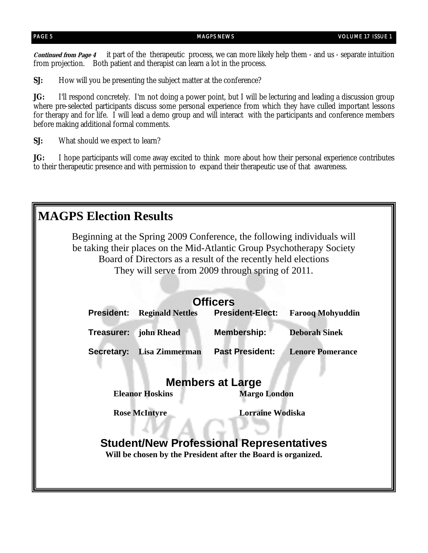**Continued from Page 4** it part of the therapeutic process, we can more likely help them - and us - separate intuition from projection. Both patient and therapist can learn a lot in the process.

**SJ:** How will you be presenting the subject matter at the conference?

**JG:** I'll respond concretely. I'm not doing a power point, but I will be lecturing and leading a discussion group where pre-selected participants discuss some personal experience from which they have culled important lessons for therapy and for life. I will lead a demo group and will interact with the participants and conference members before making additional formal comments.

**SJ:** What should we expect to learn?

**JG:** I hope participants will come away excited to think more about how their personal experience contributes to their therapeutic presence and with permission to expand their therapeutic use of that awareness.

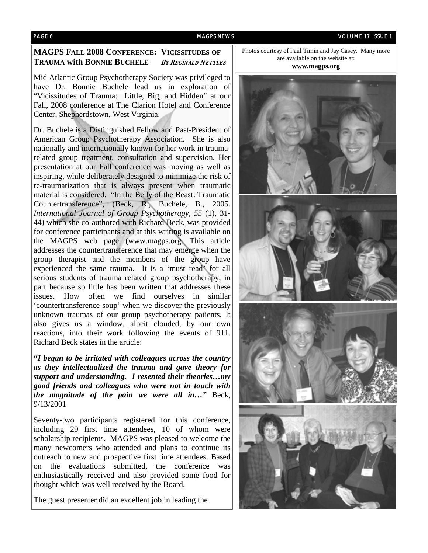#### **MAGPS FALL 2008 CONFERENCE: VICISSITUDES OF TRAUMA with BONNIE BUCHELE <sup>B</sup>Y REGINALD NETTLES**

Mid Atlantic Group Psychotherapy Society was privileged to have Dr. Bonnie Buchele lead us in exploration of "Vicissitudes of Trauma: Little, Big, and Hidden" at our Fall, 2008 conference at The Clarion Hotel and Conference Center, Shepherdstown, West Virginia.

Dr. Buchele is a Distinguished Fellow and Past-President of American Group Psychotherapy Association. She is also nationally and internationally known for her work in traumarelated group treatment, consultation and supervision. Her presentation at our Fall conference was moving as well as inspiring, while deliberately designed to minimize the risk of re-traumatization that is always present when traumatic material is considered. "In the Belly of the Beast: Traumatic Countertransference", (Beck, R., Buchele, B., 2005. *International Journal of Group Psychotherapy, 55* (1), 31- 44) which she co-authored with Richard Beck, was provided for conference participants and at this writing is available on the MAGPS web page (www.magps.org. This article addresses the countertransference that may emerge when the group therapist and the members of the group have experienced the same trauma. It is a 'must read' for all serious students of trauma related group psychotherapy, in part because so little has been written that addresses these issues. How often we find ourselves in similar 'countertransference soup' when we discover the previously unknown traumas of our group psychotherapy patients, It also gives us a window, albeit clouded, by our own reactions, into their work following the events of 911. Richard Beck states in the article:

**"***I began to be irritated with colleagues across the country as they intellectualized the trauma and gave theory for support and understanding. I resented their theories…my good friends and colleagues who were not in touch with the magnitude of the pain we were all in…"* Beck, 9/13/2001

Seventy-two participants registered for this conference, including 29 first time attendees, 10 of whom were scholarship recipients. MAGPS was pleased to welcome the many newcomers who attended and plans to continue its outreach to new and prospective first time attendees. Based on the evaluations submitted, the conference was enthusiastically received and also provided some food for thought which was well received by the Board.

The guest presenter did an excellent job in leading the

Photos courtesy of Paul Timin and Jay Casey. Many more are available on the website at:

**www.magps.org** 

![](_page_5_Picture_10.jpeg)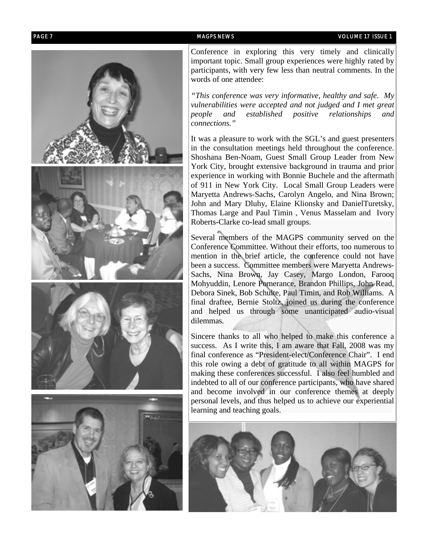![](_page_6_Picture_2.jpeg)

Conference in exploring this very timely and clinically important topic. Small group experiences were highly rated by participants, with very few less than neutral comments. In the words of one attendee:

*"This conference was very informative, healthy and safe. My vulnerabilities were accepted and not judged and I met great people and established positive relationships and connections."* 

It was a pleasure to work with the SGL's and guest presenters in the consultation meetings held throughout the conference. Shoshana Ben-Noam, Guest Small Group Leader from New York City, brought extensive background in trauma and prior experience in working with Bonnie Buchele and the aftermath of 911 in New York City. Local Small Group Leaders were Maryetta Andrews-Sachs, Carolyn Angelo, and Nina Brown; John and Mary Dluhy, Elaine Klionsky and DanielTuretsky, Thomas Large and Paul Timin , Venus Masselam and Ivory Roberts-Clarke co-lead small groups.

Several members of the MAGPS community served on the Conference Committee. Without their efforts, too numerous to mention in the brief article, the conference could not have been a success. Committee members were Maryetta Andrews-Sachs, Nina Brown, Jay Casey, Margo London, Farooq Mohyuddin, Lenore Pomerance, Brandon Phillips, John Read, Debora Sinek, Bob Schulte, Paul Timin, and Rob Williams. A final draftee, Bernie Stoltz, joined us during the conference and helped us through some unanticipated audio-visual dilemmas.

Sincere thanks to all who helped to make this conference a success. As I write this, I am aware that Fall, 2008 was my final conference as "President-elect/Conference Chair". I end this role owing a debt of gratitude to all within MAGPS for making these conferences successful. I also feel humbled and indebted to all of our conference participants, who have shared and become involved in our conference themes at deeply personal levels, and thus helped us to achieve our experiential learning and teaching goals.

![](_page_6_Picture_8.jpeg)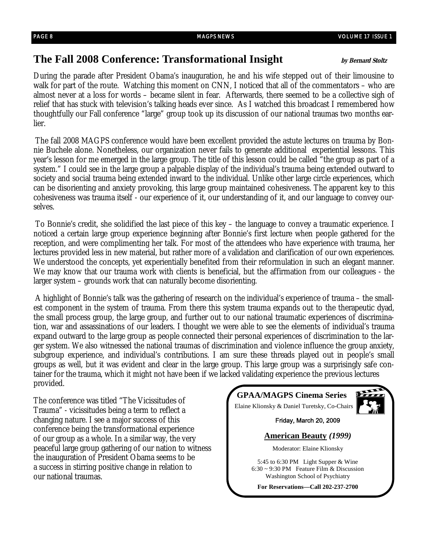# **The Fall 2008 Conference: Transformational Insight by Bernard Stoltz**

During the parade after President Obama's inauguration, he and his wife stepped out of their limousine to walk for part of the route. Watching this moment on CNN, I noticed that all of the commentators – who are almost never at a loss for words – became silent in fear. Afterwards, there seemed to be a collective sigh of relief that has stuck with television's talking heads ever since. As I watched this broadcast I remembered how thoughtfully our Fall conference "large" group took up its discussion of our national traumas two months earlier.

The fall 2008 MAGPS conference would have been excellent provided the astute lectures on trauma by Bonnie Buchele alone. Nonetheless, our organization never fails to generate additional experiential lessons. This year's lesson for me emerged in the large group. The title of this lesson could be called "the group as part of a system." I could see in the large group a palpable display of the individual's trauma being extended outward to society and social trauma being extended inward to the individual. Unlike other large circle experiences, which can be disorienting and anxiety provoking, this large group maintained cohesiveness. The apparent key to this cohesiveness was trauma itself - our experience of it, our understanding of it, and our language to convey ourselves.

To Bonnie's credit, she solidified the last piece of this key – the language to convey a traumatic experience. I noticed a certain large group experience beginning after Bonnie's first lecture when people gathered for the reception, and were complimenting her talk. For most of the attendees who have experience with trauma, her lectures provided less in new material, but rather more of a validation and clarification of our own experiences. We understood the concepts, yet experientially benefited from their reformulation in such an elegant manner. We may know that our trauma work with clients is beneficial, but the affirmation from our colleagues - the larger system – grounds work that can naturally become disorienting.

A highlight of Bonnie's talk was the gathering of research on the individual's experience of trauma – the smallest component in the system of trauma. From there this system trauma expands out to the therapeutic dyad, the small process group, the large group, and further out to our national traumatic experiences of discrimination, war and assassinations of our leaders. I thought we were able to see the elements of individual's trauma expand outward to the large group as people connected their personal experiences of discrimination to the larger system. We also witnessed the national traumas of discrimination and violence influence the group anxiety, subgroup experience, and individual's contributions. I am sure these threads played out in people's small groups as well, but it was evident and clear in the large group. This large group was a surprisingly safe container for the trauma, which it might not have been if we lacked validating experience the previous lectures provided.

The conference was titled "The Vicissitudes of Trauma" - vicissitudes being a term to reflect a changing nature. I see a major success of this conference being the transformational experience of our group as a whole. In a similar way, the very peaceful large group gathering of our nation to witness the inauguration of President Obama seems to be a success in stirring positive change in relation to our national traumas.

![](_page_7_Picture_9.jpeg)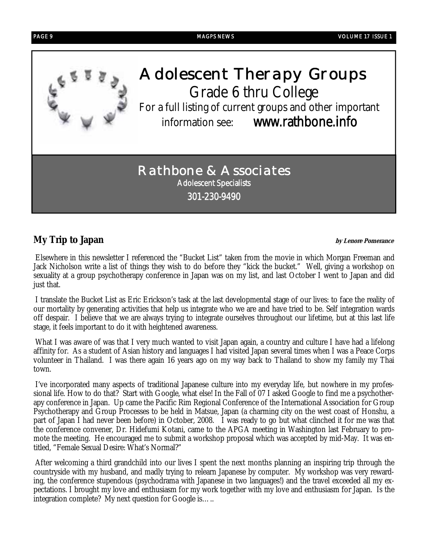![](_page_8_Picture_0.jpeg)

# **My Trip to Japan by Lenore Pomerance**

Elsewhere in this newsletter I referenced the "Bucket List" taken from the movie in which Morgan Freeman and Jack Nicholson write a list of things they wish to do before they "kick the bucket." Well, giving a workshop on sexuality at a group psychotherapy conference in Japan was on my list, and last October I went to Japan and did just that.

I translate the Bucket List as Eric Erickson's task at the last developmental stage of our lives: to face the reality of our mortality by generating activities that help us integrate who we are and have tried to be. Self integration wards off despair. I believe that we are always trying to integrate ourselves throughout our lifetime, but at this last life stage, it feels important to do it with heightened awareness.

What I was aware of was that I very much wanted to visit Japan again, a country and culture I have had a lifelong affinity for. As a student of Asian history and languages I had visited Japan several times when I was a Peace Corps volunteer in Thailand. I was there again 16 years ago on my way back to Thailand to show my family my Thai town.

I've incorporated many aspects of traditional Japanese culture into my everyday life, but nowhere in my professional life. How to do that? Start with Google, what else! In the Fall of 07 I asked Google to find me a psychotherapy conference in Japan. Up came the Pacific Rim Regional Conference of the International Association for Group Psychotherapy and Group Processes to be held in Matsue, Japan (a charming city on the west coast of Honshu, a part of Japan I had never been before) in October, 2008. I was ready to go but what clinched it for me was that the conference convener, Dr. Hidefumi Kotani, came to the APGA meeting in Washington last February to promote the meeting. He encouraged me to submit a workshop proposal which was accepted by mid-May. It was entitled, "Female Sexual Desire: What's Normal?"

After welcoming a third grandchild into our lives I spent the next months planning an inspiring trip through the countryside with my husband, and madly trying to relearn Japanese by computer. My workshop was very rewarding, the conference stupendous (psychodrama with Japanese in two languages!) and the travel exceeded all my expectations. I brought my love and enthusiasm for my work together with my love and enthusiasm for Japan. Is the integration complete? My next question for Google is…..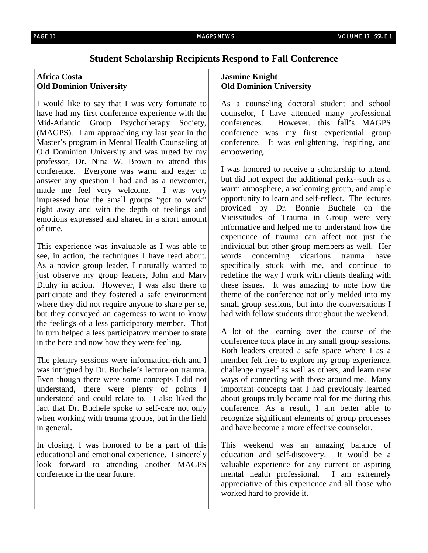## **Student Scholarship Recipients Respond to Fall Conference**

### **Africa Costa Old Dominion University**

I would like to say that I was very fortunate to have had my first conference experience with the Mid-Atlantic Group Psychotherapy Society, (MAGPS). I am approaching my last year in the Master's program in Mental Health Counseling at Old Dominion University and was urged by my professor, Dr. Nina W. Brown to attend this conference. Everyone was warm and eager to answer any question I had and as a newcomer, made me feel very welcome. I was very impressed how the small groups "got to work" right away and with the depth of feelings and emotions expressed and shared in a short amount of time.

This experience was invaluable as I was able to see, in action, the techniques I have read about. As a novice group leader, I naturally wanted to just observe my group leaders, John and Mary Dluhy in action. However, I was also there to participate and they fostered a safe environment where they did not require anyone to share per se, but they conveyed an eagerness to want to know the feelings of a less participatory member. That in turn helped a less participatory member to state in the here and now how they were feeling.

The plenary sessions were information-rich and I was intrigued by Dr. Buchele's lecture on trauma. Even though there were some concepts I did not understand, there were plenty of points I understood and could relate to. I also liked the fact that Dr. Buchele spoke to self-care not only when working with trauma groups, but in the field in general.

In closing, I was honored to be a part of this educational and emotional experience. I sincerely look forward to attending another MAGPS conference in the near future.

### **Jasmine Knight Old Dominion University**

As a counseling doctoral student and school counselor, I have attended many professional conferences. However, this fall's MAGPS conference was my first experiential group conference. It was enlightening, inspiring, and empowering.

I was honored to receive a scholarship to attend, but did not expect the additional perks--such as a warm atmosphere, a welcoming group, and ample opportunity to learn and self-reflect. The lectures provided by Dr. Bonnie Buchele on the Vicissitudes of Trauma in Group were very informative and helped me to understand how the experience of trauma can affect not just the individual but other group members as well. Her words concerning vicarious trauma have specifically stuck with me, and continue to redefine the way I work with clients dealing with these issues. It was amazing to note how the theme of the conference not only melded into my small group sessions, but into the conversations I had with fellow students throughout the weekend.

A lot of the learning over the course of the conference took place in my small group sessions. Both leaders created a safe space where I as a member felt free to explore my group experience, challenge myself as well as others, and learn new ways of connecting with those around me. Many important concepts that I had previously learned about groups truly became real for me during this conference. As a result, I am better able to recognize significant elements of group processes and have become a more effective counselor.

This weekend was an amazing balance of education and self-discovery. It would be a valuable experience for any current or aspiring mental health professional. I am extremely appreciative of this experience and all those who worked hard to provide it.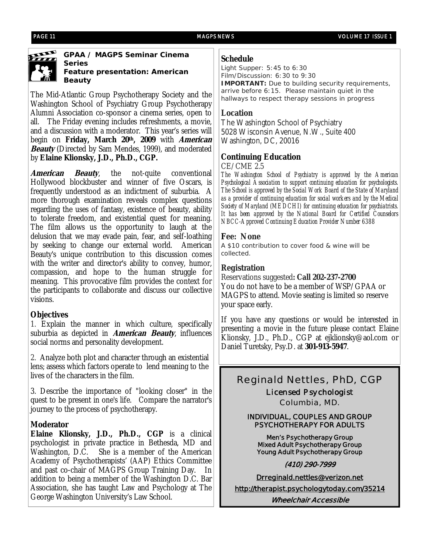![](_page_10_Picture_3.jpeg)

**GPAA / MAGPS Seminar Cinema Series Feature presentation:** *American Beauty*

The Mid-Atlantic Group Psychotherapy Society and the Washington School of Psychiatry Group Psychotherapy Alumni Association co-sponsor a cinema series, open to all. The Friday evening includes refreshments, a movie, and a discussion with a moderator. This year's series will begin on **Friday, March 20th, 2009** with **American Beauty** (Directed by Sam Mendes, 1999), and moderated by **Elaine Klionsky, J.D., Ph.D., CGP.** 

**American Beauty**, the not-quite conventional Hollywood blockbuster and winner of five Oscars, is frequently understood as an indictment of suburbia. A more thorough examination reveals complex questions regarding the uses of fantasy, existence of beauty, ability to tolerate freedom, and existential quest for meaning. The film allows us the opportunity to laugh at the delusion that we may evade pain, fear, and self-loathing by seeking to change our external world. American Beauty's unique contribution to this discussion comes with the writer and director's ability to convey, humor, compassion, and hope to the human struggle for meaning. This provocative film provides the context for the participants to collaborate and discuss our collective visions.

#### **Objectives**

1. Explain the manner in which culture, specifically suburbia as depicted in **American Beauty**, influences social norms and personality development.

2. Analyze both plot and character through an existential lens; assess which factors operate to lend meaning to the lives of the characters in the film.

3. Describe the importance of "looking closer" in the quest to be present in one's life. Compare the narrator's journey to the process of psychotherapy.

### **Moderator**

**Elaine Klionsky, J.D., Ph.D., CGP** is a clinical psychologist in private practice in Bethesda, MD and Washington, D.C. She is a member of the American Academy of Psychotherapists' (AAP) Ethics Committee and past co-chair of MAGPS Group Training Day. In addition to being a member of the Washington D.C. Bar Association, she has taught Law and Psychology at The George Washington University's Law School.

### **Schedule**

Light Supper: 5:45 to 6:30 Film/Discussion: 6:30 to 9:30 **IMPORTANT:** Due to building security requirements, arrive before 6:15. Please maintain quiet in the hallways to respect therapy sessions in progress

### **Location**

The Washington School of Psychiatry 5028 Wisconsin Avenue, N.W., Suite 400 Washington, DC, 20016

### **Continuing Education**

CE/CME 2.5

*The Washington School of Psychiatry is approved by the American Psychological Association to support continuing education for psychologists. The School is approved by the Social Work Board of the State of Maryland as a provider of continuing education for social workers and by the Medical Society of Maryland (MEDCHI) for continuing education for psychiatrists. It has been approved by the National Board for Certified Counselors NBCC-Approved Continuing Education Provider Number 6388* 

#### **Fee: None**

A \$10 contribution to cover food & wine will be collected.

### **Registration**

Reservations suggested**: Call 202-237-2700** You do not have to be a member of WSP/GPAA or MAGPS to attend. Movie seating is limited so reserve your space early.

If you have any questions or would be interested in presenting a movie in the future please contact Elaine Klionsky, J.D., Ph.D., CGP at ejklionsky@aol.com or Daniel Turetsky, Psy.D. at **301-913-5947**.

# *Reginald Nettles, PhD, CGP*

*Licensed Psychologist Columbia, MD.*

#### **INDIVIDUAL, COUPLES AND GROUP PSYCHOTHERAPY FOR ADULTS**

**Men's Psychotherapy Group Mixed Adult Psychotherapy Group Young Adult Psychotherapy Group** 

**(410) 290-7999** 

**Drreginald.nettles@verizon.net http://therapist.psychologytoday.com/35214 Wheelchair Accessible**